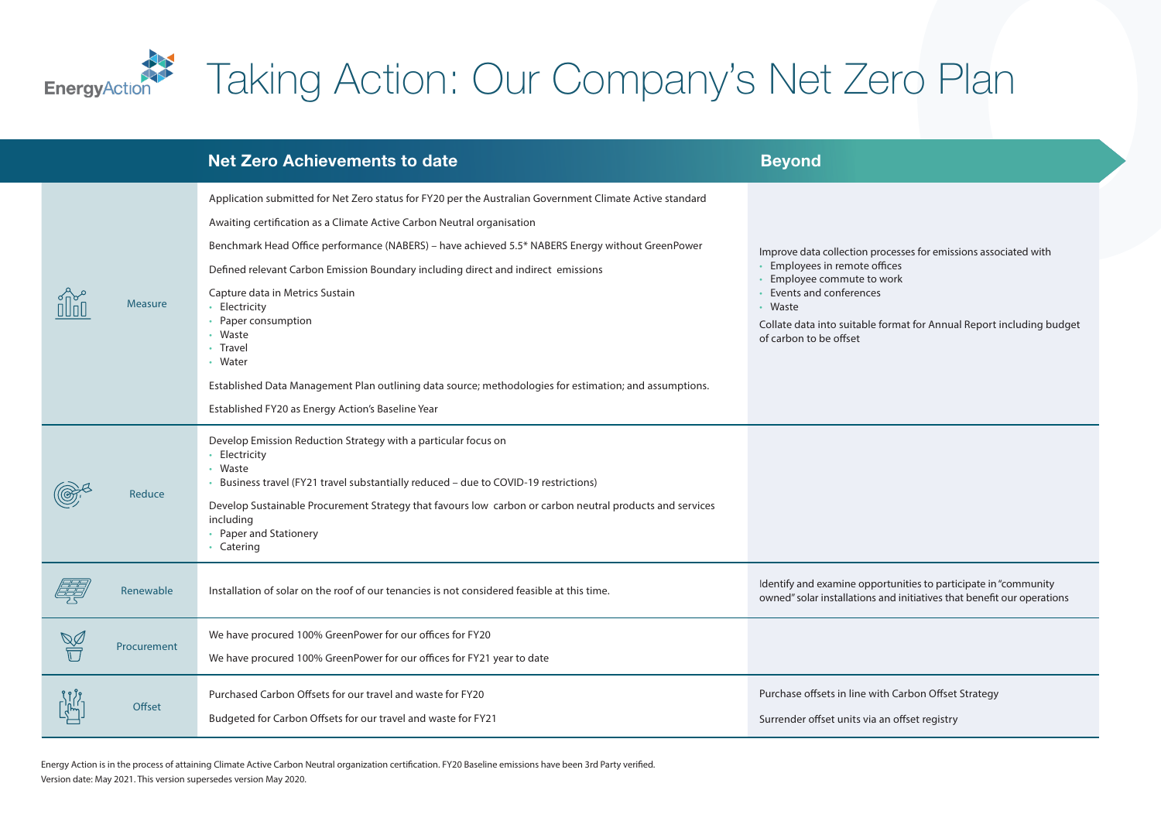

## Taking Action: Our Company's Net Zero Plan

|                | <b>Net Zero Achievements to date</b>                                                                                                                                                                                                                                                                                                                                                                                                                                                                                                                                                                                                                    | <b>Beyond</b>                                                                                                                                                                                                                                                           |
|----------------|---------------------------------------------------------------------------------------------------------------------------------------------------------------------------------------------------------------------------------------------------------------------------------------------------------------------------------------------------------------------------------------------------------------------------------------------------------------------------------------------------------------------------------------------------------------------------------------------------------------------------------------------------------|-------------------------------------------------------------------------------------------------------------------------------------------------------------------------------------------------------------------------------------------------------------------------|
| <b>Measure</b> | Application submitted for Net Zero status for FY20 per the Australian Government Climate Active standard<br>Awaiting certification as a Climate Active Carbon Neutral organisation<br>Benchmark Head Office performance (NABERS) - have achieved 5.5* NABERS Energy without GreenPower<br>Defined relevant Carbon Emission Boundary including direct and indirect emissions<br>Capture data in Metrics Sustain<br>• Electricity<br>• Paper consumption<br>• Waste<br>• Travel<br>• Water<br>Established Data Management Plan outlining data source; methodologies for estimation; and assumptions.<br>Established FY20 as Energy Action's Baseline Year | Improve data collection processes for emissions associated with<br>• Employees in remote offices<br>• Employee commute to work<br>• Events and conferences<br>• Waste<br>Collate data into suitable format for Annual Report including budget<br>of carbon to be offset |
| Reduce         | Develop Emission Reduction Strategy with a particular focus on<br>• Electricity<br>• Waste<br>• Business travel (FY21 travel substantially reduced - due to COVID-19 restrictions)<br>Develop Sustainable Procurement Strategy that favours low carbon or carbon neutral products and services<br>including<br>• Paper and Stationery<br>• Catering                                                                                                                                                                                                                                                                                                     |                                                                                                                                                                                                                                                                         |
| Renewable      | Installation of solar on the roof of our tenancies is not considered feasible at this time.                                                                                                                                                                                                                                                                                                                                                                                                                                                                                                                                                             | Identify and examine opportunities to participate in "community<br>owned" solar installations and initiatives that benefit our operations                                                                                                                               |
| Procurement    | We have procured 100% GreenPower for our offices for FY20<br>We have procured 100% GreenPower for our offices for FY21 year to date                                                                                                                                                                                                                                                                                                                                                                                                                                                                                                                     |                                                                                                                                                                                                                                                                         |
| Offset         | Purchased Carbon Offsets for our travel and waste for FY20<br>Budgeted for Carbon Offsets for our travel and waste for FY21                                                                                                                                                                                                                                                                                                                                                                                                                                                                                                                             | Purchase offsets in line with Carbon Offset Strategy<br>Surrender offset units via an offset registry                                                                                                                                                                   |

Energy Action is in the process of attaining Climate Active Carbon Neutral organization certification. FY20 Baseline emissions have been 3rd Party verified. Version date: May 2021. This version supersedes version May 2020.